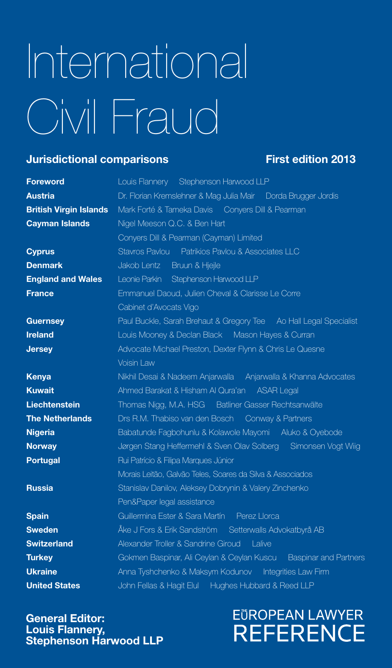# International Civil Fraud

#### **Jurisdictional comparisons** First edition 2013

| <b>Foreword</b>               | Louis Flannery Stephenson Harwood LLP                             |
|-------------------------------|-------------------------------------------------------------------|
| <b>Austria</b>                | Dr. Florian Kremslehner & Mag Julia Mair Dorda Brugger Jordis     |
| <b>British Virgin Islands</b> | Mark Forté & Tameka Davis Conyers Dill & Pearman                  |
| <b>Cayman Islands</b>         | Nigel Meeson Q.C. & Ben Hart                                      |
|                               | Conyers Dill & Pearman (Cayman) Limited                           |
| <b>Cyprus</b>                 | Stavros Pavlou Patrikios Pavlou & Associates LLC                  |
| <b>Denmark</b>                | Jakob Lentz Bruun & Hjejle                                        |
| <b>England and Wales</b>      | Leonie Parkin Stephenson Harwood LLP                              |
| <b>France</b>                 | Emmanuel Daoud, Julien Cheval & Clarisse Le Corre                 |
|                               | Cabinet d'Avocats Vigo                                            |
| <b>Guernsey</b>               | Paul Buckle, Sarah Brehaut & Gregory Tee Ao Hall Legal Specialist |
| <b>Ireland</b>                | Louis Mooney & Declan Black Mason Hayes & Curran                  |
| <b>Jersey</b>                 | Advocate Michael Preston, Dexter Flynn & Chris Le Quesne          |
|                               | Voisin Law                                                        |
| <b>Kenya</b>                  | Nikhil Desai & Nadeem Anjarwalla Anjarwalla & Khanna Advocates    |
| <b>Kuwait</b>                 | Ahmed Barakat & Hisham Al Qura'an ASAR Legal                      |
| <b>Liechtenstein</b>          | Thomas Nigg, M.A. HSG Batliner Gasser Rechtsanwälte               |
| <b>The Netherlands</b>        | Drs R.M. Thabiso van den Bosch Conway & Partners                  |
| <b>Nigeria</b>                | Babatunde Fagbohunlu & Kolawole Mayomi Aluko & Oyebode            |
| <b>Norway</b>                 | Jørgen Stang Heffermehl & Sven Olav Solberg Simonsen Vogt Wiig    |
| <b>Portugal</b>               | Rui Patrício & Filipa Marques Júnior                              |
|                               | Morais Leitão, Galvão Teles, Soares da Silva & Associados         |
| <b>Russia</b>                 | Stanislav Danilov, Aleksey Dobrynin & Valery Zinchenko            |
|                               | Pen&Paper legal assistance                                        |
| <b>Spain</b>                  | Guillermina Ester & Sara Martín Perez Horca                       |
| <b>Sweden</b>                 | Åke J Fors & Erik Sandström Setterwalls Advokatbyrå AB            |
| <b>Switzerland</b>            | Alexander Troller & Sandrine Giroud<br>l alive                    |
| <b>Turkey</b>                 | Gokmen Baspinar, Ali Ceylan & Ceylan Kuscu Baspinar and Partners  |
| <b>Ukraine</b>                | Anna Tyshchenko & Maksym Kodunov Integrities Law Firm             |
| <b>United States</b>          | John Fellas & Hagit Elul Hughes Hubbard & Reed LLP                |

General Editor: Louis Flannery, Stephenson Harwood LLP

### **EÜROPEAN LAWYER REFERENCE**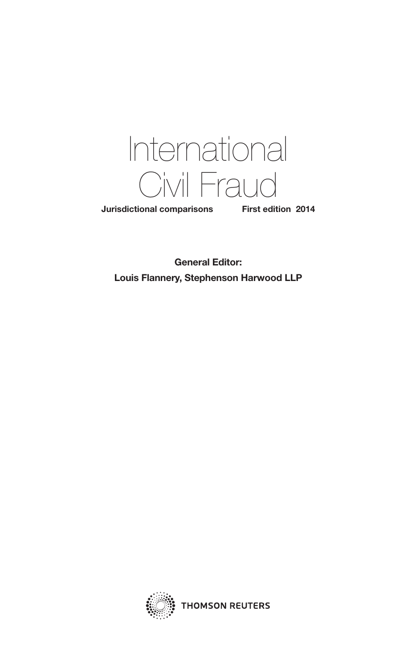

Jurisdictional comparisons First edition 2014

General Editor: Louis Flannery, Stephenson Harwood LLP



**THOMSON REUTERS**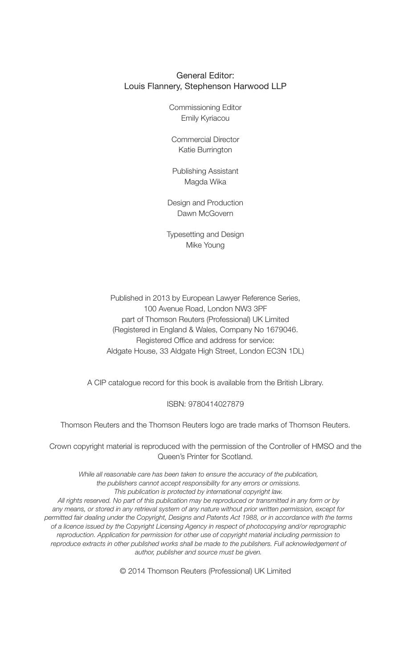#### General Editor: Louis Flannery, Stephenson Harwood LLP

Commissioning Editor Emily Kyriacou

Commercial Director Katie Burrington

Publishing Assistant Magda Wika

Design and Production Dawn McGovern

Typesetting and Design Mike Young

Published in 2013 by European Lawyer Reference Series, 100 Avenue Road, London NW3 3PF part of Thomson Reuters (Professional) UK Limited (Registered in England & Wales, Company No 1679046. Registered Office and address for service: Aldgate House, 33 Aldgate High Street, London EC3N 1DL)

A CIP catalogue record for this book is available from the British Library.

ISBN: 9780414027879

Thomson Reuters and the Thomson Reuters logo are trade marks of Thomson Reuters.

Crown copyright material is reproduced with the permission of the Controller of HMSO and the Queen's Printer for Scotland.

*While all reasonable care has been taken to ensure the accuracy of the publication, the publishers cannot accept responsibility for any errors or omissions. This publication is protected by international copyright law.*

*All rights reserved. No part of this publication may be reproduced or transmitted in any form or by any means, or stored in any retrieval system of any nature without prior written permission, except for permitted fair dealing under the Copyright, Designs and Patents Act 1988, or in accordance with the terms of a licence issued by the Copyright Licensing Agency in respect of photocopying and/or reprographic reproduction. Application for permission for other use of copyright material including permission to*  reproduce extracts in other published works shall be made to the publishers. Full acknowledgement of *author, publisher and source must be given.*

© 2014 Thomson Reuters (Professional) UK Limited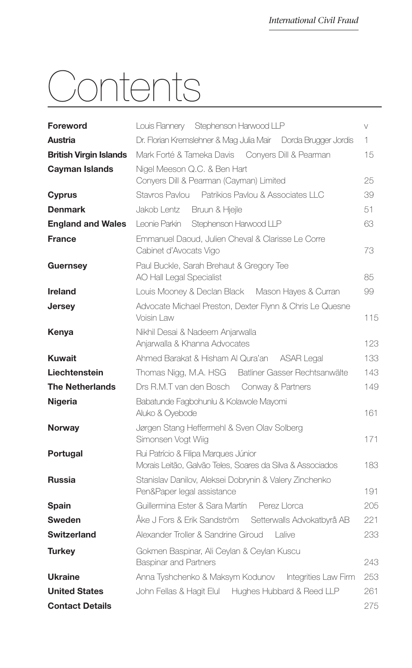## Contents

| <b>Foreword</b>               | Louis Flannery Stephenson Harwood LLP                                                             | $\vee$ |
|-------------------------------|---------------------------------------------------------------------------------------------------|--------|
| Austria                       | Dr. Florian Kremslehner & Mag Julia Mair<br>Dorda Brugger Jordis                                  | 1      |
| <b>British Virgin Islands</b> | Mark Forté & Tameka Davis Conyers Dill & Pearman                                                  | 15     |
| <b>Cayman Islands</b>         | Nigel Meeson Q.C. & Ben Hart<br>Conyers Dill & Pearman (Cayman) Limited                           | 25     |
| <b>Cyprus</b>                 | Stavros Pavlou Patrikios Pavlou & Associates II C                                                 | 39     |
| <b>Denmark</b>                | Jakob Lentz<br>Bruun & Hjejle                                                                     | 51     |
| <b>England and Wales</b>      | I eonie Parkin<br>Stephenson Harwood LLP                                                          | 63     |
| <b>France</b>                 | Emmanuel Daoud, Julien Cheval & Clarisse Le Corre<br>Cabinet d'Avocats Vigo                       | 73     |
| <b>Guernsey</b>               | Paul Buckle, Sarah Brehaut & Gregory Tee<br><b>AO Hall Legal Specialist</b>                       | 85     |
| <b>Ireland</b>                | Louis Mooney & Declan Black  Mason Hayes & Curran                                                 | 99     |
| <b>Jersey</b>                 | Advocate Michael Preston, Dexter Flynn & Chris Le Quesne<br>Voisin Law                            | 115    |
| Kenya                         | Nikhil Desai & Nadeem Anjarwalla<br>Anjarwalla & Khanna Advocates                                 | 123    |
| <b>Kuwait</b>                 | Ahmed Barakat & Hisham Al Qura'an ASAR Legal                                                      | 133    |
| Liechtenstein                 | Thomas Nigg, M.A. HSG Batliner Gasser Rechtsanwälte                                               | 143    |
| <b>The Netherlands</b>        | Drs R.M.T van den Bosch Conway & Partners                                                         | 149    |
| <b>Nigeria</b>                | Babatunde Fagbohunlu & Kolawole Mayomi<br>Aluko & Ovebode                                         | 161    |
| <b>Norway</b>                 | Jørgen Stang Heffermehl & Sven Olav Solberg<br>Simonsen Vogt Wiig                                 | 171    |
| Portugal                      | Rui Patrício & Filipa Marques Júnior<br>Morais Leitão, Galvão Teles, Soares da Silva & Associados | 183    |
| <b>Russia</b>                 | Stanislav Danilov, Aleksei Dobrynin & Valery Zinchenko<br>Pen&Paper legal assistance              | 191    |
| Spain                         | Guillermina Ester & Sara Martín<br>Perez Llorca                                                   | 205    |
| <b>Sweden</b>                 | Åke J Fors & Frik Sandström<br>Setterwalls Advokatbyrå AB                                         | 221    |
| <b>Switzerland</b>            | Alexander Troller & Sandrine Giroud<br>I alive                                                    | 233    |
| <b>Turkey</b>                 | Gokmen Baspinar, Ali Ceylan & Ceylan Kuscu<br><b>Baspinar and Partners</b>                        | 243    |
| <b>Ukraine</b>                | Anna Tyshchenko & Maksym Kodunov<br>Integrities Law Firm                                          | 253    |
| <b>United States</b>          | John Fellas & Hagit Elul Hughes Hubbard & Reed LLP                                                | 261    |
| <b>Contact Details</b>        |                                                                                                   | 275    |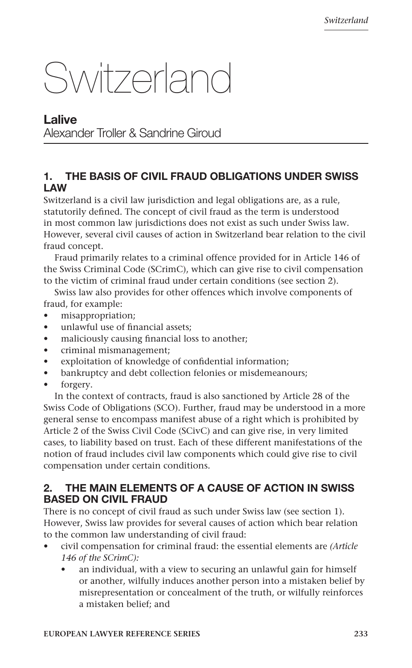### Switzerland

#### **Lalive** Alexander Troller & Sandrine Giroud

#### 1. THE BASIS OF CIVIL FRAUD OBLIGATIONS UNDER SWISS LAW

Switzerland is a civil law jurisdiction and legal obligations are, as a rule, statutorily defined. The concept of civil fraud as the term is understood in most common law jurisdictions does not exist as such under Swiss law. However, several civil causes of action in Switzerland bear relation to the civil fraud concept.

Fraud primarily relates to a criminal offence provided for in Article 146 of the Swiss Criminal Code (SCrimC), which can give rise to civil compensation to the victim of criminal fraud under certain conditions (see section 2).

Swiss law also provides for other offences which involve components of fraud, for example:

- misappropriation;
- unlawful use of financial assets;
- maliciously causing financial loss to another;
- criminal mismanagement;
- exploitation of knowledge of confidential information;
- bankruptcy and debt collection felonies or misdemeanours;
- forgery.

In the context of contracts, fraud is also sanctioned by Article 28 of the Swiss Code of Obligations (SCO). Further, fraud may be understood in a more general sense to encompass manifest abuse of a right which is prohibited by Article 2 of the Swiss Civil Code (SCivC) and can give rise, in very limited cases, to liability based on trust. Each of these different manifestations of the notion of fraud includes civil law components which could give rise to civil compensation under certain conditions.

#### 2. THE MAIN ELEMENTS OF A CAUSE OF ACTION IN SWISS BASED ON CIVIL FRAUD

There is no concept of civil fraud as such under Swiss law (see section 1). However, Swiss law provides for several causes of action which bear relation to the common law understanding of civil fraud:

- civil compensation for criminal fraud: the essential elements are *(Article 146 of the SCrimC):*
	- an individual, with a view to securing an unlawful gain for himself or another, wilfully induces another person into a mistaken belief by misrepresentation or concealment of the truth, or wilfully reinforces a mistaken belief; and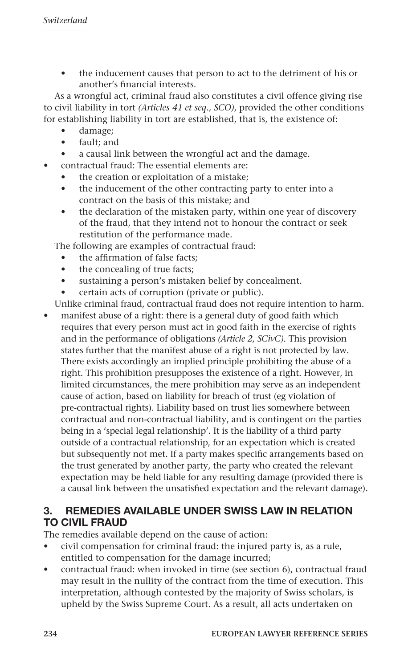the inducement causes that person to act to the detriment of his or another's financial interests.

As a wrongful act, criminal fraud also constitutes a civil offence giving rise to civil liability in tort *(Articles 41 et seq., SCO)*, provided the other conditions for establishing liability in tort are established, that is, the existence of:

- damage;
- fault; and
- a causal link between the wrongful act and the damage.
- contractual fraud: The essential elements are:
	- the creation or exploitation of a mistake;
	- the inducement of the other contracting party to enter into a contract on the basis of this mistake; and
	- the declaration of the mistaken party, within one year of discovery of the fraud, that they intend not to honour the contract or seek restitution of the performance made.

The following are examples of contractual fraud:

- the affirmation of false facts;
- the concealing of true facts;
- sustaining a person's mistaken belief by concealment.
- certain acts of corruption (private or public).

Unlike criminal fraud, contractual fraud does not require intention to harm.

manifest abuse of a right: there is a general duty of good faith which requires that every person must act in good faith in the exercise of rights and in the performance of obligations *(Article 2, SCivC).* This provision states further that the manifest abuse of a right is not protected by law. There exists accordingly an implied principle prohibiting the abuse of a right. This prohibition presupposes the existence of a right. However, in limited circumstances, the mere prohibition may serve as an independent cause of action, based on liability for breach of trust (eg violation of pre-contractual rights). Liability based on trust lies somewhere between contractual and non-contractual liability, and is contingent on the parties being in a 'special legal relationship'. It is the liability of a third party outside of a contractual relationship, for an expectation which is created but subsequently not met. If a party makes specific arrangements based on the trust generated by another party, the party who created the relevant expectation may be held liable for any resulting damage (provided there is a causal link between the unsatisfied expectation and the relevant damage).

#### 3. REMEDIES AVAILABLE UNDER SWISS LAW IN RELATION TO CIVIL FRAUD

The remedies available depend on the cause of action:

- civil compensation for criminal fraud: the injured party is, as a rule, entitled to compensation for the damage incurred;
- contractual fraud: when invoked in time (see section 6), contractual fraud may result in the nullity of the contract from the time of execution. This interpretation, although contested by the majority of Swiss scholars, is upheld by the Swiss Supreme Court. As a result, all acts undertaken on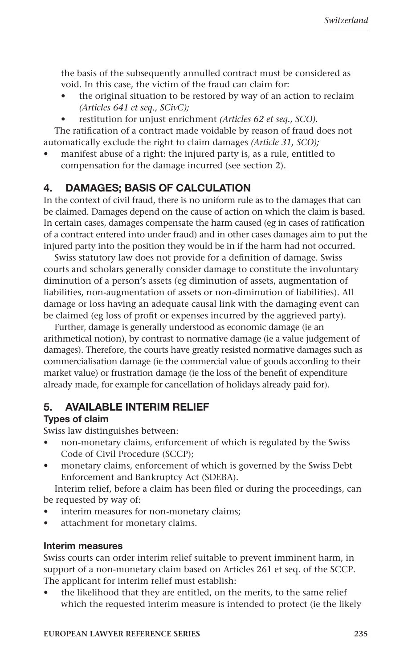the basis of the subsequently annulled contract must be considered as void. In this case, the victim of the fraud can claim for:

- the original situation to be restored by way of an action to reclaim *(Articles 641 et seq., SCivC);*
- restitution for unjust enrichment *(Articles 62 et seq., SCO).*

The ratification of a contract made voidable by reason of fraud does not automatically exclude the right to claim damages *(Article 31, SCO);*

manifest abuse of a right: the injured party is, as a rule, entitled to compensation for the damage incurred (see section 2).

#### 4. DAMAGES; BASIS OF CALCULATION

In the context of civil fraud, there is no uniform rule as to the damages that can be claimed. Damages depend on the cause of action on which the claim is based. In certain cases, damages compensate the harm caused (eg in cases of ratification of a contract entered into under fraud) and in other cases damages aim to put the injured party into the position they would be in if the harm had not occurred.

Swiss statutory law does not provide for a definition of damage. Swiss courts and scholars generally consider damage to constitute the involuntary diminution of a person's assets (eg diminution of assets, augmentation of liabilities, non-augmentation of assets or non-diminution of liabilities). All damage or loss having an adequate causal link with the damaging event can be claimed (eg loss of profit or expenses incurred by the aggrieved party).

Further, damage is generally understood as economic damage (ie an arithmetical notion), by contrast to normative damage (ie a value judgement of damages). Therefore, the courts have greatly resisted normative damages such as commercialisation damage (ie the commercial value of goods according to their market value) or frustration damage (ie the loss of the benefit of expenditure already made, for example for cancellation of holidays already paid for).

#### 5. AVAILABLE INTERIM RELIEF

#### Types of claim

Swiss law distinguishes between:

- non-monetary claims, enforcement of which is regulated by the Swiss Code of Civil Procedure (SCCP);
- monetary claims, enforcement of which is governed by the Swiss Debt Enforcement and Bankruptcy Act (SDEBA).

Interim relief, before a claim has been filed or during the proceedings, can be requested by way of:

- interim measures for non-monetary claims;
- attachment for monetary claims.

#### Interim measures

Swiss courts can order interim relief suitable to prevent imminent harm, in support of a non-monetary claim based on Articles 261 et seq. of the SCCP. The applicant for interim relief must establish:

the likelihood that they are entitled, on the merits, to the same relief which the requested interim measure is intended to protect (ie the likely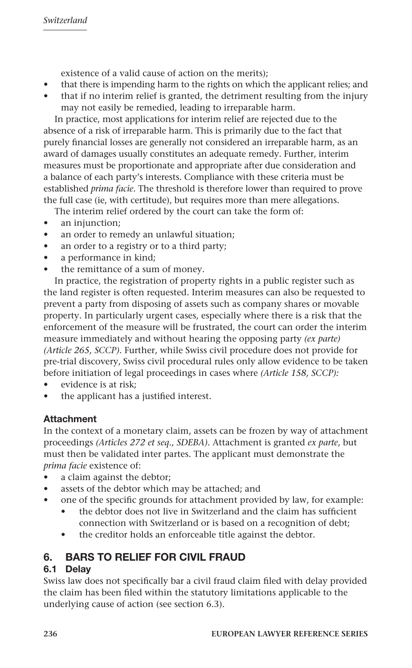existence of a valid cause of action on the merits);

- that there is impending harm to the rights on which the applicant relies; and
- that if no interim relief is granted, the detriment resulting from the injury may not easily be remedied, leading to irreparable harm.

In practice, most applications for interim relief are rejected due to the absence of a risk of irreparable harm. This is primarily due to the fact that purely financial losses are generally not considered an irreparable harm, as an award of damages usually constitutes an adequate remedy. Further, interim measures must be proportionate and appropriate after due consideration and a balance of each party's interests. Compliance with these criteria must be established *prima facie*. The threshold is therefore lower than required to prove the full case (ie, with certitude), but requires more than mere allegations.

The interim relief ordered by the court can take the form of:

- an injunction;
- an order to remedy an unlawful situation;
- an order to a registry or to a third party;
- a performance in kind;
- the remittance of a sum of money.

In practice, the registration of property rights in a public register such as the land register is often requested. Interim measures can also be requested to prevent a party from disposing of assets such as company shares or movable property. In particularly urgent cases, especially where there is a risk that the enforcement of the measure will be frustrated, the court can order the interim measure immediately and without hearing the opposing party *(ex parte) (Article 265, SCCP)*. Further, while Swiss civil procedure does not provide for pre-trial discovery, Swiss civil procedural rules only allow evidence to be taken before initiation of legal proceedings in cases where *(Article 158, SCCP):* 

- evidence is at risk;
- the applicant has a justified interest.

#### Attachment

In the context of a monetary claim, assets can be frozen by way of attachment proceedings *(Articles 272 et seq., SDEBA)*. Attachment is granted *ex parte*, but must then be validated inter partes. The applicant must demonstrate the *prima facie* existence of:

- a claim against the debtor;
- assets of the debtor which may be attached; and
- one of the specific grounds for attachment provided by law, for example:
	- the debtor does not live in Switzerland and the claim has sufficient connection with Switzerland or is based on a recognition of debt;
	- the creditor holds an enforceable title against the debtor.

#### 6. BARS TO RELIEF FOR CIVIL FRAUD

#### 6.1 Delay

Swiss law does not specifically bar a civil fraud claim filed with delay provided the claim has been filed within the statutory limitations applicable to the underlying cause of action (see section 6.3).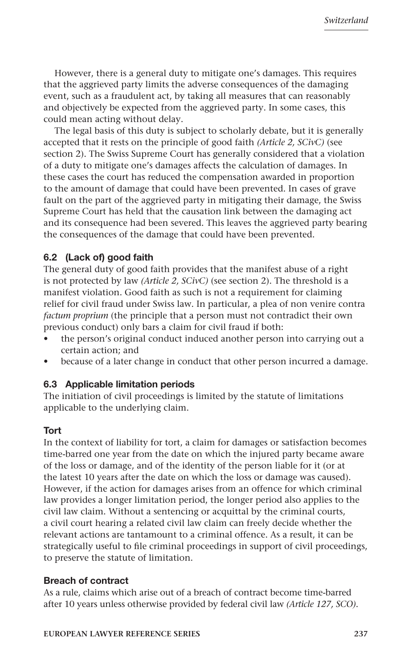However, there is a general duty to mitigate one's damages. This requires that the aggrieved party limits the adverse consequences of the damaging event, such as a fraudulent act, by taking all measures that can reasonably and objectively be expected from the aggrieved party. In some cases, this could mean acting without delay.

The legal basis of this duty is subject to scholarly debate, but it is generally accepted that it rests on the principle of good faith *(Article 2, SCivC)* (see section 2). The Swiss Supreme Court has generally considered that a violation of a duty to mitigate one's damages affects the calculation of damages. In these cases the court has reduced the compensation awarded in proportion to the amount of damage that could have been prevented. In cases of grave fault on the part of the aggrieved party in mitigating their damage, the Swiss Supreme Court has held that the causation link between the damaging act and its consequence had been severed. This leaves the aggrieved party bearing the consequences of the damage that could have been prevented.

#### 6.2 (Lack of) good faith

The general duty of good faith provides that the manifest abuse of a right is not protected by law *(Article 2, SCivC)* (see section 2). The threshold is a manifest violation. Good faith as such is not a requirement for claiming relief for civil fraud under Swiss law. In particular, a plea of non venire contra *factum proprium* (the principle that a person must not contradict their own previous conduct) only bars a claim for civil fraud if both:

- the person's original conduct induced another person into carrying out a certain action; and
- because of a later change in conduct that other person incurred a damage.

#### 6.3 Applicable limitation periods

The initiation of civil proceedings is limited by the statute of limitations applicable to the underlying claim.

#### **Tort**

In the context of liability for tort, a claim for damages or satisfaction becomes time-barred one year from the date on which the injured party became aware of the loss or damage, and of the identity of the person liable for it (or at the latest 10 years after the date on which the loss or damage was caused). However, if the action for damages arises from an offence for which criminal law provides a longer limitation period, the longer period also applies to the civil law claim. Without a sentencing or acquittal by the criminal courts, a civil court hearing a related civil law claim can freely decide whether the relevant actions are tantamount to a criminal offence. As a result, it can be strategically useful to file criminal proceedings in support of civil proceedings, to preserve the statute of limitation.

#### Breach of contract

As a rule, claims which arise out of a breach of contract become time-barred after 10 years unless otherwise provided by federal civil law *(Article 127, SCO)*.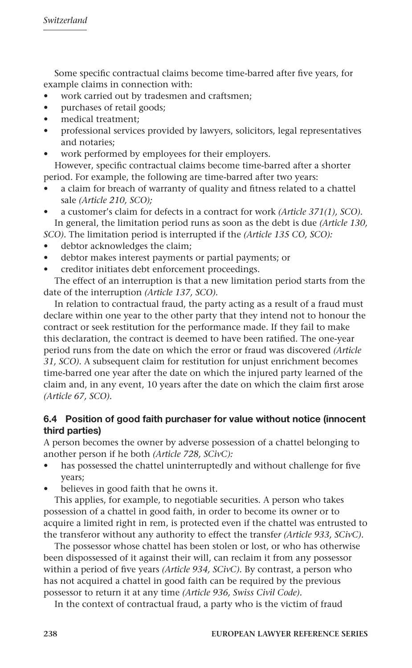Some specific contractual claims become time-barred after five years, for example claims in connection with:

- work carried out by tradesmen and craftsmen;
- purchases of retail goods;
- medical treatment;
- professional services provided by lawyers, solicitors, legal representatives and notaries;
- work performed by employees for their employers. However, specific contractual claims become time-barred after a shorter

period. For example, the following are time-barred after two years:

- a claim for breach of warranty of quality and fitness related to a chattel sale *(Article 210, SCO);*
- a customer's claim for defects in a contract for work *(Article 371(1), SCO).* In general, the limitation period runs as soon as the debt is due *(Article 130,*
- *SCO).* The limitation period is interrupted if the *(Article 135 CO, SCO):*
- debtor acknowledges the claim;
- debtor makes interest payments or partial payments; or
- creditor initiates debt enforcement proceedings.

The effect of an interruption is that a new limitation period starts from the date of the interruption *(Article 137, SCO).*

In relation to contractual fraud, the party acting as a result of a fraud must declare within one year to the other party that they intend not to honour the contract or seek restitution for the performance made. If they fail to make this declaration, the contract is deemed to have been ratified. The one-year period runs from the date on which the error or fraud was discovered *(Article 31, SCO)*. A subsequent claim for restitution for unjust enrichment becomes time-barred one year after the date on which the injured party learned of the claim and, in any event, 10 years after the date on which the claim first arose *(Article 67, SCO).*

#### 6.4 Position of good faith purchaser for value without notice (innocent third parties)

A person becomes the owner by adverse possession of a chattel belonging to another person if he both *(Article 728, SCivC):*

- has possessed the chattel uninterruptedly and without challenge for five years;
- believes in good faith that he owns it.

This applies, for example, to negotiable securities. A person who takes possession of a chattel in good faith, in order to become its owner or to acquire a limited right in rem, is protected even if the chattel was entrusted to the transferor without any authority to effect the transfe*r (Article 933, SCivC).*

The possessor whose chattel has been stolen or lost, or who has otherwise been dispossessed of it against their will, can reclaim it from any possessor within a period of five years *(Article 934, SCivC).* By contrast, a person who has not acquired a chattel in good faith can be required by the previous possessor to return it at any time *(Article 936, Swiss Civil Code).*

In the context of contractual fraud, a party who is the victim of fraud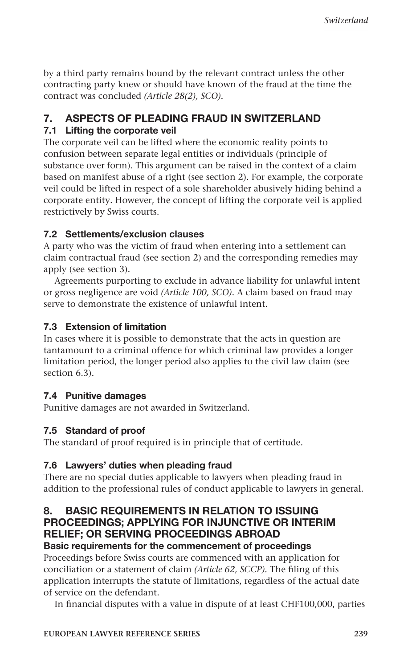by a third party remains bound by the relevant contract unless the other contracting party knew or should have known of the fraud at the time the contract was concluded *(Article 28(2), SCO).*

#### 7. ASPECTS OF PLEADING FRAUD IN SWITZERLAND

#### 7.1 Lifting the corporate veil

The corporate veil can be lifted where the economic reality points to confusion between separate legal entities or individuals (principle of substance over form). This argument can be raised in the context of a claim based on manifest abuse of a right (see section 2). For example, the corporate veil could be lifted in respect of a sole shareholder abusively hiding behind a corporate entity. However, the concept of lifting the corporate veil is applied restrictively by Swiss courts.

#### 7.2 Settlements/exclusion clauses

A party who was the victim of fraud when entering into a settlement can claim contractual fraud (see section 2) and the corresponding remedies may apply (see section 3).

Agreements purporting to exclude in advance liability for unlawful intent or gross negligence are void *(Article 100, SCO)*. A claim based on fraud may serve to demonstrate the existence of unlawful intent.

#### 7.3 Extension of limitation

In cases where it is possible to demonstrate that the acts in question are tantamount to a criminal offence for which criminal law provides a longer limitation period, the longer period also applies to the civil law claim (see section 6.3).

#### 7.4 Punitive damages

Punitive damages are not awarded in Switzerland.

#### 7.5 Standard of proof

The standard of proof required is in principle that of certitude.

#### 7.6 Lawyers' duties when pleading fraud

There are no special duties applicable to lawyers when pleading fraud in addition to the professional rules of conduct applicable to lawyers in general.

#### 8. BASIC REQUIREMENTS IN RELATION TO ISSUING PROCEEDINGS; APPLYING FOR INJUNCTIVE OR INTERIM RELIEF; OR SERVING PROCEEDINGS ABROAD

#### Basic requirements for the commencement of proceedings

Proceedings before Swiss courts are commenced with an application for conciliation or a statement of claim *(Article 62, SCCP).* The filing of this application interrupts the statute of limitations, regardless of the actual date of service on the defendant.

In financial disputes with a value in dispute of at least CHF100,000, parties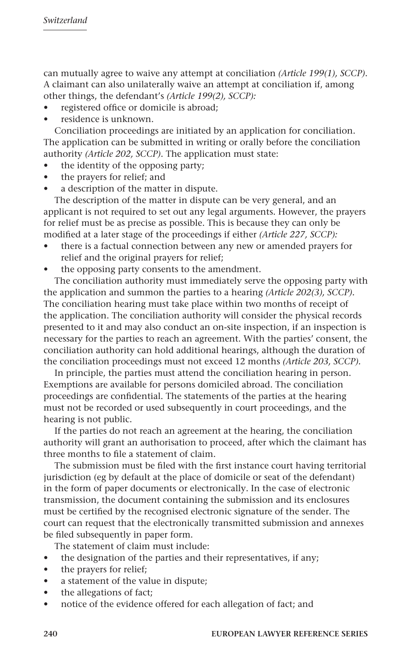can mutually agree to waive any attempt at conciliation *(Article 199(1), SCCP)*. A claimant can also unilaterally waive an attempt at conciliation if, among other things, the defendant's *(Article 199(2), SCCP):* 

- registered office or domicile is abroad;
- residence is unknown.

Conciliation proceedings are initiated by an application for conciliation. The application can be submitted in writing or orally before the conciliation authority *(Article 202, SCCP)*. The application must state:

- the identity of the opposing party;
- the prayers for relief; and
- a description of the matter in dispute.

The description of the matter in dispute can be very general, and an applicant is not required to set out any legal arguments. However, the prayers for relief must be as precise as possible. This is because they can only be modified at a later stage of the proceedings if either *(Article 227, SCCP):* 

- there is a factual connection between any new or amended prayers for relief and the original prayers for relief;
- the opposing party consents to the amendment.

The conciliation authority must immediately serve the opposing party with the application and summon the parties to a hearing *(Article 202(3), SCCP).*  The conciliation hearing must take place within two months of receipt of the application. The conciliation authority will consider the physical records presented to it and may also conduct an on-site inspection, if an inspection is necessary for the parties to reach an agreement. With the parties' consent, the conciliation authority can hold additional hearings, although the duration of the conciliation proceedings must not exceed 12 months *(Article 203, SCCP).*

In principle, the parties must attend the conciliation hearing in person. Exemptions are available for persons domiciled abroad. The conciliation proceedings are confidential. The statements of the parties at the hearing must not be recorded or used subsequently in court proceedings, and the hearing is not public.

If the parties do not reach an agreement at the hearing, the conciliation authority will grant an authorisation to proceed, after which the claimant has three months to file a statement of claim.

The submission must be filed with the first instance court having territorial jurisdiction (eg by default at the place of domicile or seat of the defendant) in the form of paper documents or electronically. In the case of electronic transmission, the document containing the submission and its enclosures must be certified by the recognised electronic signature of the sender. The court can request that the electronically transmitted submission and annexes be filed subsequently in paper form.

The statement of claim must include:

- the designation of the parties and their representatives, if any;
- the prayers for relief;
- a statement of the value in dispute;
- the allegations of fact;
- notice of the evidence offered for each allegation of fact; and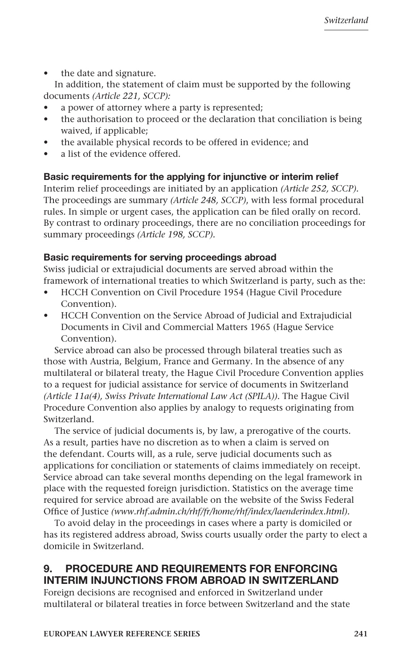the date and signature.

In addition, the statement of claim must be supported by the following documents *(Article 221, SCCP):* 

- a power of attorney where a party is represented;
- the authorisation to proceed or the declaration that conciliation is being waived, if applicable;
- the available physical records to be offered in evidence; and
- a list of the evidence offered.

#### Basic requirements for the applying for injunctive or interim relief

Interim relief proceedings are initiated by an application *(Article 252, SCCP).* The proceedings are summary *(Article 248, SCCP)*, with less formal procedural rules. In simple or urgent cases, the application can be filed orally on record. By contrast to ordinary proceedings, there are no conciliation proceedings for summary proceedings *(Article 198, SCCP).*

#### Basic requirements for serving proceedings abroad

Swiss judicial or extrajudicial documents are served abroad within the framework of international treaties to which Switzerland is party, such as the:

- HCCH Convention on Civil Procedure 1954 (Hague Civil Procedure Convention).
- HCCH Convention on the Service Abroad of Judicial and Extrajudicial Documents in Civil and Commercial Matters 1965 (Hague Service Convention).

Service abroad can also be processed through bilateral treaties such as those with Austria, Belgium, France and Germany. In the absence of any multilateral or bilateral treaty, the Hague Civil Procedure Convention applies to a request for judicial assistance for service of documents in Switzerland *(Article 11a(4), Swiss Private International Law Act (SPILA))*. The Hague Civil Procedure Convention also applies by analogy to requests originating from Switzerland.

The service of judicial documents is, by law, a prerogative of the courts. As a result, parties have no discretion as to when a claim is served on the defendant. Courts will, as a rule, serve judicial documents such as applications for conciliation or statements of claims immediately on receipt. Service abroad can take several months depending on the legal framework in place with the requested foreign jurisdiction. Statistics on the average time required for service abroad are available on the website of the Swiss Federal Office of Justice *(www.rhf.admin.ch/rhf/fr/home/rhf/index/laenderindex.html).* 

To avoid delay in the proceedings in cases where a party is domiciled or has its registered address abroad, Swiss courts usually order the party to elect a domicile in Switzerland.

#### 9. PROCEDURE AND REQUIREMENTS FOR ENFORCING INTERIM INJUNCTIONS FROM ABROAD IN SWITZERLAND

Foreign decisions are recognised and enforced in Switzerland under multilateral or bilateral treaties in force between Switzerland and the state